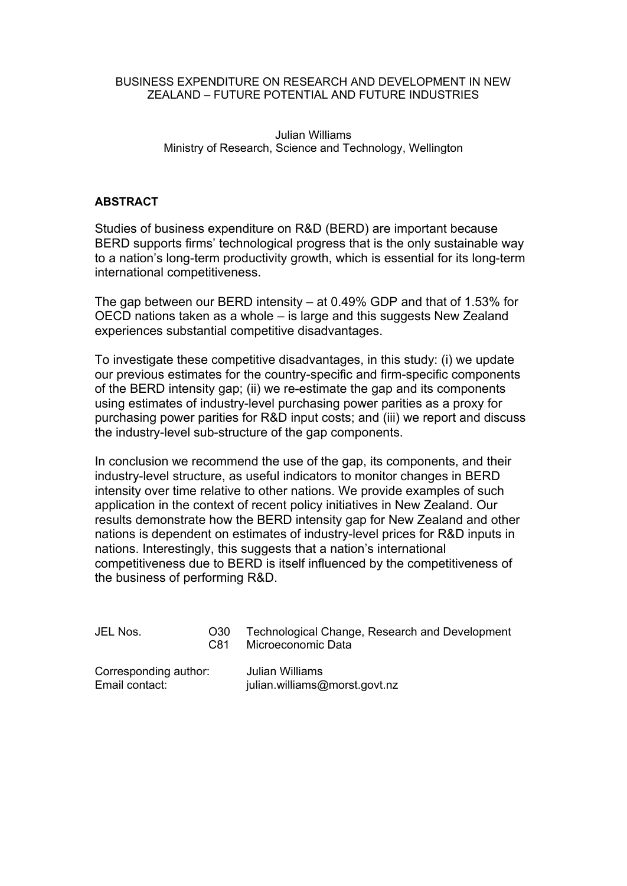#### BUSINESS EXPENDITURE ON RESEARCH AND DEVELOPMENT IN NEW ZEALAND – FUTURE POTENTIAL AND FUTURE INDUSTRIES

#### Julian Williams Ministry of Research, Science and Technology, Wellington

#### **ABSTRACT**

Studies of business expenditure on R&D (BERD) are important because BERD supports firms' technological progress that is the only sustainable way to a nation's long-term productivity growth, which is essential for its long-term international competitiveness.

The gap between our BERD intensity – at 0.49% GDP and that of 1.53% for OECD nations taken as a whole – is large and this suggests New Zealand experiences substantial competitive disadvantages.

To investigate these competitive disadvantages, in this study: (i) we update our previous estimates for the country-specific and firm-specific components of the BERD intensity gap; (ii) we re-estimate the gap and its components using estimates of industry-level purchasing power parities as a proxy for purchasing power parities for R&D input costs; and (iii) we report and discuss the industry-level sub-structure of the gap components.

In conclusion we recommend the use of the gap, its components, and their industry-level structure, as useful indicators to monitor changes in BERD intensity over time relative to other nations. We provide examples of such application in the context of recent policy initiatives in New Zealand. Our results demonstrate how the BERD intensity gap for New Zealand and other nations is dependent on estimates of industry-level prices for R&D inputs in nations. Interestingly, this suggests that a nation's international competitiveness due to BERD is itself influenced by the competitiveness of the business of performing R&D.

| JEL Nos.              | O30<br>C81 | Technological Change, Research and Development<br>Microeconomic Data |  |  |
|-----------------------|------------|----------------------------------------------------------------------|--|--|
| Corresponding author: |            | Julian Williams                                                      |  |  |
| Email contact:        |            | julian.williams@morst.govt.nz                                        |  |  |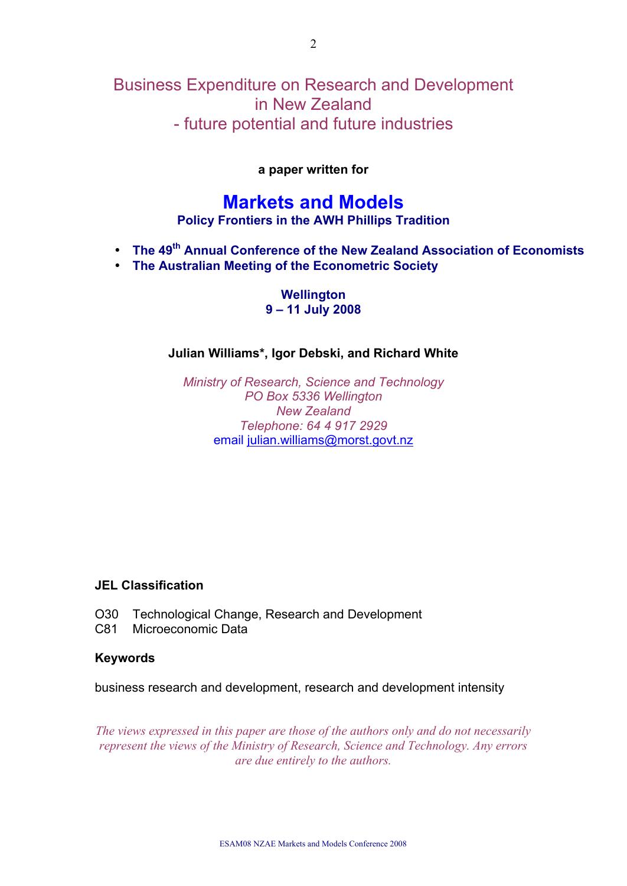# Business Expenditure on Research and Development in New Zealand - future potential and future industries

#### **a paper written for**

# **Markets and Models**

**Policy Frontiers in the AWH Phillips Tradition**

- **The 49th Annual Conference of the New Zealand Association of Economists**
- **The Australian Meeting of the Econometric Society**

**Wellington 9 – 11 July 2008** 

#### **Julian Williams\*, Igor Debski, and Richard White**

*Ministry of Research, Science and Technology PO Box 5336 Wellington New Zealand Telephone: 64 4 917 2929* email julian.williams@morst.govt.nz

#### **JEL Classification**

- O30 Technological Change, Research and Development
- C81 Microeconomic Data

#### **Keywords**

business research and development, research and development intensity

*The views expressed in this paper are those of the authors only and do not necessarily represent the views of the Ministry of Research, Science and Technology. Any errors are due entirely to the authors.*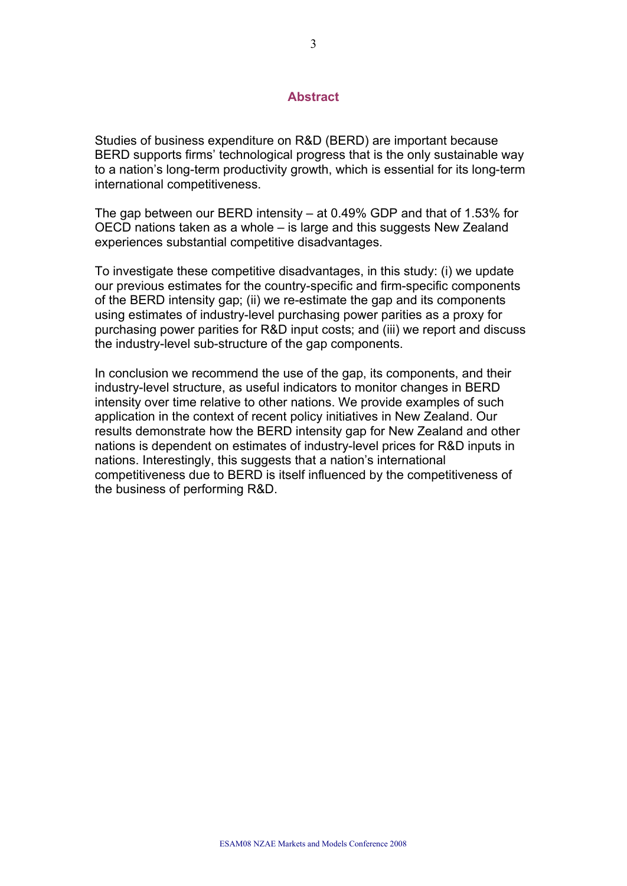#### **Abstract**

Studies of business expenditure on R&D (BERD) are important because BERD supports firms' technological progress that is the only sustainable way to a nation's long-term productivity growth, which is essential for its long-term international competitiveness.

The gap between our BERD intensity – at 0.49% GDP and that of 1.53% for OECD nations taken as a whole – is large and this suggests New Zealand experiences substantial competitive disadvantages.

To investigate these competitive disadvantages, in this study: (i) we update our previous estimates for the country-specific and firm-specific components of the BERD intensity gap; (ii) we re-estimate the gap and its components using estimates of industry-level purchasing power parities as a proxy for purchasing power parities for R&D input costs; and (iii) we report and discuss the industry-level sub-structure of the gap components.

In conclusion we recommend the use of the gap, its components, and their industry-level structure, as useful indicators to monitor changes in BERD intensity over time relative to other nations. We provide examples of such application in the context of recent policy initiatives in New Zealand. Our results demonstrate how the BERD intensity gap for New Zealand and other nations is dependent on estimates of industry-level prices for R&D inputs in nations. Interestingly, this suggests that a nation's international competitiveness due to BERD is itself influenced by the competitiveness of the business of performing R&D.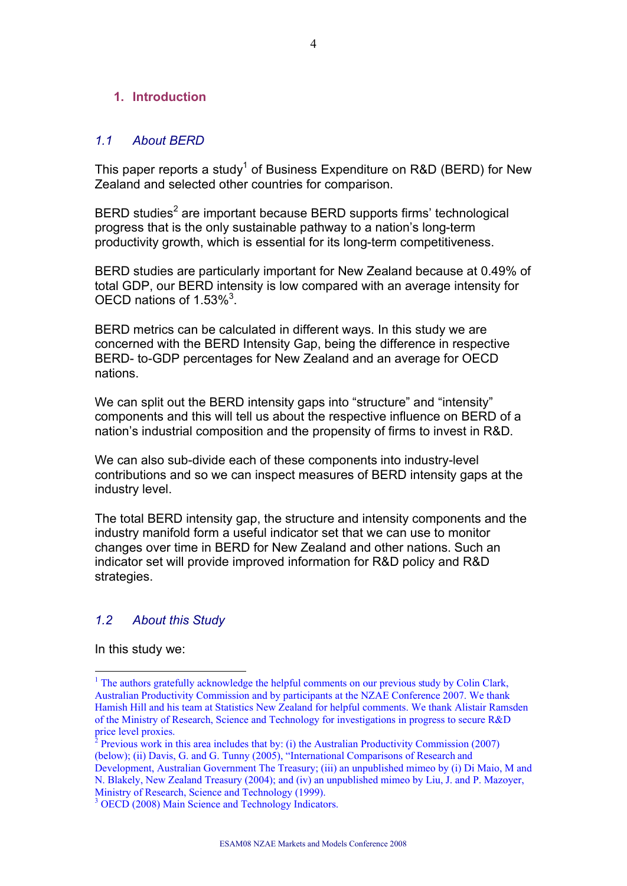#### **1. Introduction**

#### *1.1 About BERD*

This paper reports a study<sup>1</sup> of Business Expenditure on R&D (BERD) for New Zealand and selected other countries for comparison.

BERD studies<sup>2</sup> are important because BERD supports firms' technological progress that is the only sustainable pathway to a nation's long-term productivity growth, which is essential for its long-term competitiveness.

BERD studies are particularly important for New Zealand because at 0.49% of total GDP, our BERD intensity is low compared with an average intensity for OECD nations of 1.53% $3$ .

BERD metrics can be calculated in different ways. In this study we are concerned with the BERD Intensity Gap, being the difference in respective BERD- to-GDP percentages for New Zealand and an average for OECD nations.

We can split out the BERD intensity gaps into "structure" and "intensity" components and this will tell us about the respective influence on BERD of a nation's industrial composition and the propensity of firms to invest in R&D.

We can also sub-divide each of these components into industry-level contributions and so we can inspect measures of BERD intensity gaps at the industry level.

The total BERD intensity gap, the structure and intensity components and the industry manifold form a useful indicator set that we can use to monitor changes over time in BERD for New Zealand and other nations. Such an indicator set will provide improved information for R&D policy and R&D strategies.

### *1.2 About this Study*

In this study we:

<sup>&</sup>lt;sup>1</sup> The authors gratefully acknowledge the helpful comments on our previous study by Colin Clark, Australian Productivity Commission and by participants at the NZAE Conference 2007. We thank Hamish Hill and his team at Statistics New Zealand for helpful comments. We thank Alistair Ramsden of the Ministry of Research, Science and Technology for investigations in progress to secure R&D price level proxies.

<sup>&</sup>lt;sup>2</sup> Previous work in this area includes that by: (i) the Australian Productivity Commission (2007) (below); (ii) Davis, G. and G. Tunny (2005), "International Comparisons of Research and Development, Australian Government The Treasury; (iii) an unpublished mimeo by (i) Di Maio, M and N. Blakely, New Zealand Treasury (2004); and (iv) an unpublished mimeo by Liu, J. and P. Mazoyer, Ministry of Research, Science and Technology (1999).

<sup>&</sup>lt;sup>3</sup> OECD (2008) Main Science and Technology Indicators.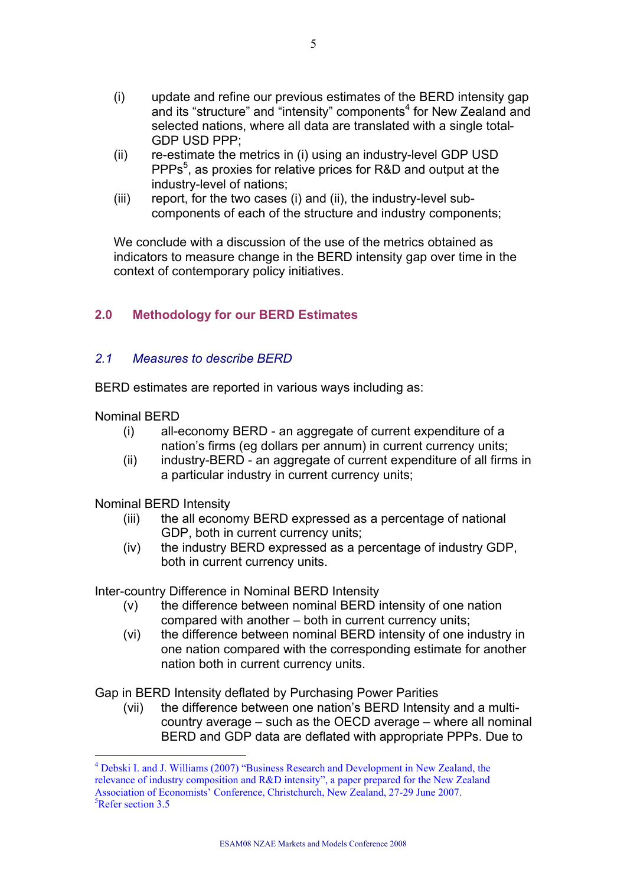- (i) update and refine our previous estimates of the BERD intensity gap and its "structure" and "intensity" components $4$  for New Zealand and selected nations, where all data are translated with a single total-GDP USD PPP;
- (ii) re-estimate the metrics in (i) using an industry-level GDP USD PPPs 5 , as proxies for relative prices for R&D and output at the industry-level of nations;
- (iii) report, for the two cases (i) and (ii), the industry-level subcomponents of each of the structure and industry components;

We conclude with a discussion of the use of the metrics obtained as indicators to measure change in the BERD intensity gap over time in the context of contemporary policy initiatives.

# **2.0 Methodology for our BERD Estimates**

#### *2.1 Measures to describe BERD*

BERD estimates are reported in various ways including as:

Nominal BERD

 $\overline{a}$ 

- (i) all-economy BERD an aggregate of current expenditure of a nation's firms (eg dollars per annum) in current currency units;
- (ii) industry-BERD an aggregate of current expenditure of all firms in a particular industry in current currency units;

Nominal BERD Intensity

- (iii) the all economy BERD expressed as a percentage of national GDP, both in current currency units;
- (iv) the industry BERD expressed as a percentage of industry GDP, both in current currency units.

Inter-country Difference in Nominal BERD Intensity

- (v) the difference between nominal BERD intensity of one nation compared with another – both in current currency units;
- (vi) the difference between nominal BERD intensity of one industry in one nation compared with the corresponding estimate for another nation both in current currency units.

Gap in BERD Intensity deflated by Purchasing Power Parities

(vii) the difference between one nation's BERD Intensity and a multicountry average – such as the OECD average – where all nominal BERD and GDP data are deflated with appropriate PPPs. Due to

<sup>&</sup>lt;sup>4</sup> Debski I. and J. Williams (2007) "Business Research and Development in New Zealand, the relevance of industry composition and R&D intensity", a paper prepared for the New Zealand Association of Economists' Conference, Christchurch, New Zealand, 27-29 June 2007.  ${}^{5}$ Refer section 3.5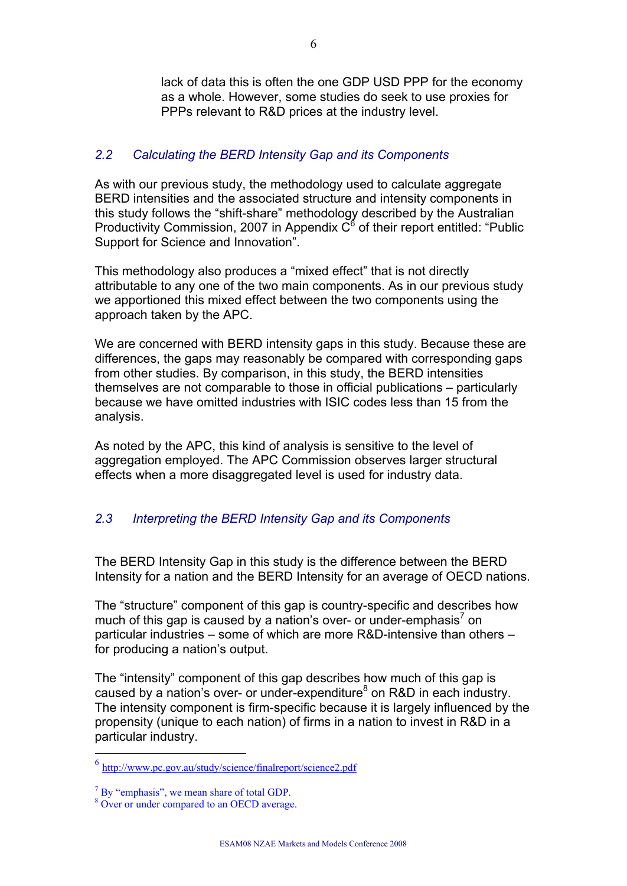lack of data this is often the one GDP USD PPP for the economy as a whole. However, some studies do seek to use proxies for PPPs relevant to R&D prices at the industry level.

#### *2.2 Calculating the BERD Intensity Gap and its Components*

As with our previous study, the methodology used to calculate aggregate BERD intensities and the associated structure and intensity components in this study follows the "shift-share" methodology described by the Australian Productivity Commission, 2007 in Appendix  $C^6$  of their report entitled: "Public Support for Science and Innovation".

This methodology also produces a "mixed effect" that is not directly attributable to any one of the two main components. As in our previous study we apportioned this mixed effect between the two components using the approach taken by the APC.

We are concerned with BERD intensity gaps in this study. Because these are differences, the gaps may reasonably be compared with corresponding gaps from other studies. By comparison, in this study, the BERD intensities themselves are not comparable to those in official publications – particularly because we have omitted industries with ISIC codes less than 15 from the analysis.

As noted by the APC, this kind of analysis is sensitive to the level of aggregation employed. The APC Commission observes larger structural effects when a more disaggregated level is used for industry data.

# *2.3 Interpreting the BERD Intensity Gap and its Components*

The BERD Intensity Gap in this study is the difference between the BERD Intensity for a nation and the BERD Intensity for an average of OECD nations.

The "structure" component of this gap is country-specific and describes how much of this gap is caused by a nation's over- or under-emphasis<sup>7</sup> on particular industries – some of which are more R&D-intensive than others – for producing a nation's output.

The "intensity" component of this gap describes how much of this gap is caused by a nation's over- or under-expenditure<sup>8</sup> on R&D in each industry. The intensity component is firm-specific because it is largely influenced by the propensity (unique to each nation) of firms in a nation to invest in R&D in a particular industry.

<sup>&</sup>lt;sup>6</sup> http://www.pc.gov.au/study/science/finalreport/science2.pdf

 $<sup>7</sup>$  By "emphasis", we mean share of total GDP.</sup>

<sup>&</sup>lt;sup>8</sup> Over or under compared to an OECD average.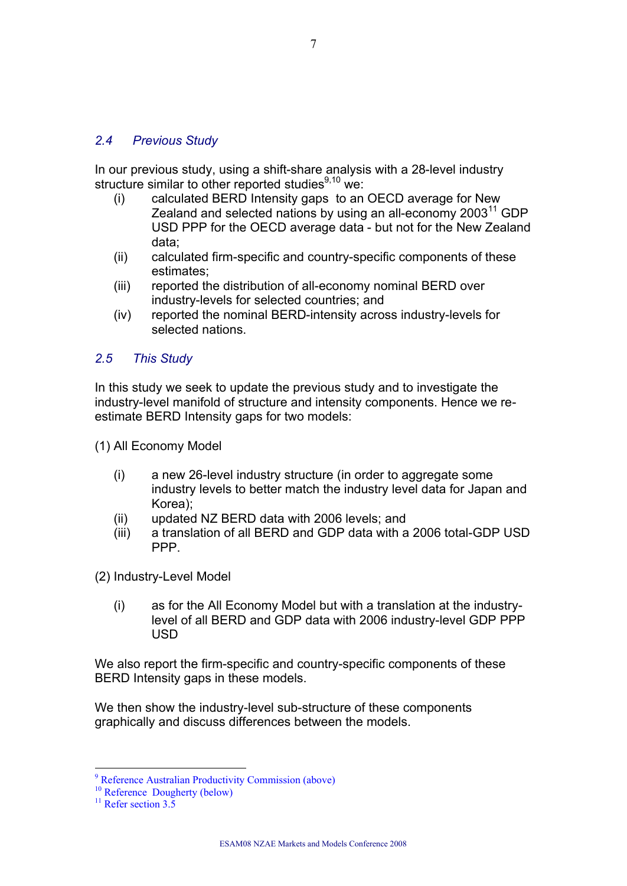#### *2.4 Previous Study*

In our previous study, using a shift-share analysis with a 28-level industry structure similar to other reported studies $9,10$  we:

- (i) calculated BERD Intensity gaps to an OECD average for New Zealand and selected nations by using an all-economy  $2003<sup>11</sup>$  GDP USD PPP for the OECD average data - but not for the New Zealand data;
- (ii) calculated firm-specific and country-specific components of these estimates;
- (iii) reported the distribution of all-economy nominal BERD over industry-levels for selected countries; and
- (iv) reported the nominal BERD-intensity across industry-levels for selected nations.

#### *2.5 This Study*

In this study we seek to update the previous study and to investigate the industry-level manifold of structure and intensity components. Hence we reestimate BERD Intensity gaps for two models:

(1) All Economy Model

- (i) a new 26-level industry structure (in order to aggregate some industry levels to better match the industry level data for Japan and Korea);
- (ii) updated NZ BERD data with 2006 levels; and
- (iii) a translation of all BERD and GDP data with a 2006 total-GDP USD PPP.

(2) Industry-Level Model

(i) as for the All Economy Model but with a translation at the industrylevel of all BERD and GDP data with 2006 industry-level GDP PPP USD

We also report the firm-specific and country-specific components of these BERD Intensity gaps in these models.

We then show the industry-level sub-structure of these components graphically and discuss differences between the models.

<sup>9</sup> Reference Australian Productivity Commission (above)

<sup>&</sup>lt;sup>10</sup> Reference Dougherty (below)

 $11$  Refer section 3.5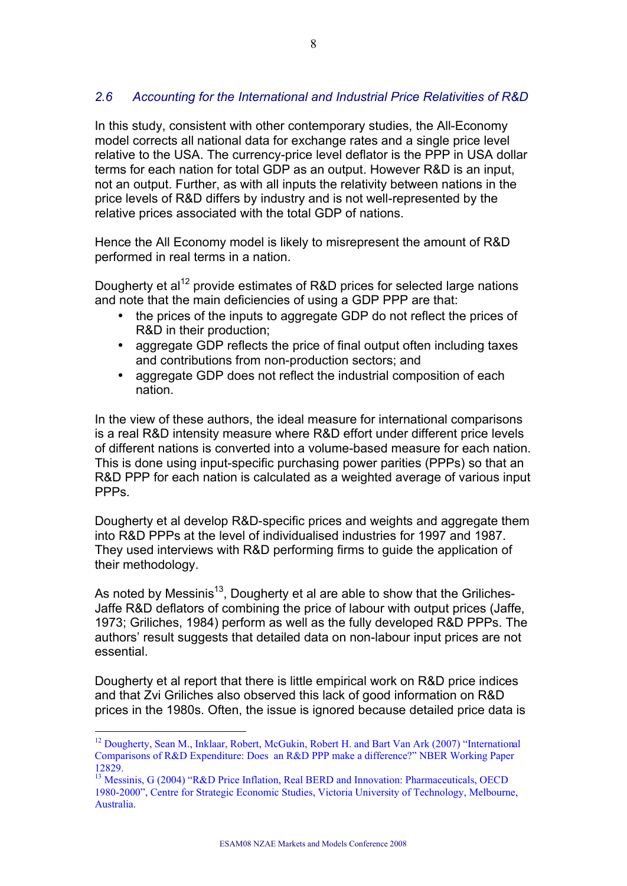# *2.6 Accounting for the International and Industrial Price Relativities of R&D*

In this study, consistent with other contemporary studies, the All-Economy model corrects all national data for exchange rates and a single price level relative to the USA. The currency-price level deflator is the PPP in USA dollar terms for each nation for total GDP as an output. However R&D is an input, not an output. Further, as with all inputs the relativity between nations in the price levels of R&D differs by industry and is not well-represented by the relative prices associated with the total GDP of nations.

Hence the All Economy model is likely to misrepresent the amount of R&D performed in real terms in a nation.

Dougherty et al<sup>12</sup> provide estimates of R&D prices for selected large nations and note that the main deficiencies of using a GDP PPP are that:

- the prices of the inputs to aggregate GDP do not reflect the prices of R&D in their production;
- aggregate GDP reflects the price of final output often including taxes and contributions from non-production sectors; and
- aggregate GDP does not reflect the industrial composition of each nation.

In the view of these authors, the ideal measure for international comparisons is a real R&D intensity measure where R&D effort under different price levels of different nations is converted into a volume-based measure for each nation. This is done using input-specific purchasing power parities (PPPs) so that an R&D PPP for each nation is calculated as a weighted average of various input PPP<sub>s</sub>.

Dougherty et al develop R&D-specific prices and weights and aggregate them into R&D PPPs at the level of individualised industries for 1997 and 1987. They used interviews with R&D performing firms to guide the application of their methodology.

As noted by Messinis<sup>13</sup>, Dougherty et al are able to show that the Griliches-Jaffe R&D deflators of combining the price of labour with output prices (Jaffe, 1973; Griliches, 1984) perform as well as the fully developed R&D PPPs. The authors' result suggests that detailed data on non-labour input prices are not essential.

Dougherty et al report that there is little empirical work on R&D price indices and that Zvi Griliches also observed this lack of good information on R&D prices in the 1980s. Often, the issue is ignored because detailed price data is

<sup>&</sup>lt;sup>12</sup> Dougherty, Sean M., Inklaar, Robert, McGukin, Robert H. and Bart Van Ark (2007) "International Comparisons of R&D Expenditure: Does an R&D PPP make a difference?" NBER Working Paper 12829.

<sup>&</sup>lt;sup>13</sup> Messinis, G (2004) "R&D Price Inflation, Real BERD and Innovation: Pharmaceuticals, OECD 1980-2000", Centre for Strategic Economic Studies, Victoria University of Technology, Melbourne, Australia.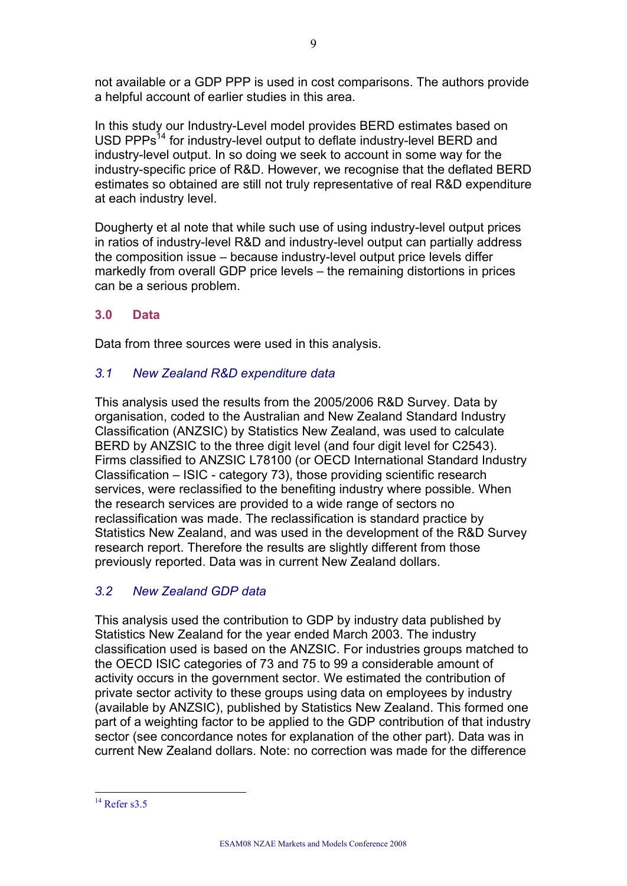not available or a GDP PPP is used in cost comparisons. The authors provide a helpful account of earlier studies in this area.

In this study our Industry-Level model provides BERD estimates based on USD PPPs<sup>14</sup> for industry-level output to deflate industry-level BERD and industry-level output. In so doing we seek to account in some way for the industry-specific price of R&D. However, we recognise that the deflated BERD estimates so obtained are still not truly representative of real R&D expenditure at each industry level.

Dougherty et al note that while such use of using industry-level output prices in ratios of industry-level R&D and industry-level output can partially address the composition issue – because industry-level output price levels differ markedly from overall GDP price levels – the remaining distortions in prices can be a serious problem.

#### **3.0 Data**

Data from three sources were used in this analysis.

#### *3.1 New Zealand R&D expenditure data*

This analysis used the results from the 2005/2006 R&D Survey. Data by organisation, coded to the Australian and New Zealand Standard Industry Classification (ANZSIC) by Statistics New Zealand, was used to calculate BERD by ANZSIC to the three digit level (and four digit level for C2543). Firms classified to ANZSIC L78100 (or OECD International Standard Industry Classification – ISIC - category 73), those providing scientific research services, were reclassified to the benefiting industry where possible. When the research services are provided to a wide range of sectors no reclassification was made. The reclassification is standard practice by Statistics New Zealand, and was used in the development of the R&D Survey research report. Therefore the results are slightly different from those previously reported. Data was in current New Zealand dollars.

#### *3.2 New Zealand GDP data*

This analysis used the contribution to GDP by industry data published by Statistics New Zealand for the year ended March 2003. The industry classification used is based on the ANZSIC. For industries groups matched to the OECD ISIC categories of 73 and 75 to 99 a considerable amount of activity occurs in the government sector. We estimated the contribution of private sector activity to these groups using data on employees by industry (available by ANZSIC), published by Statistics New Zealand. This formed one part of a weighting factor to be applied to the GDP contribution of that industry sector (see concordance notes for explanation of the other part). Data was in current New Zealand dollars. Note: no correction was made for the difference

 $14$  Refer s3.5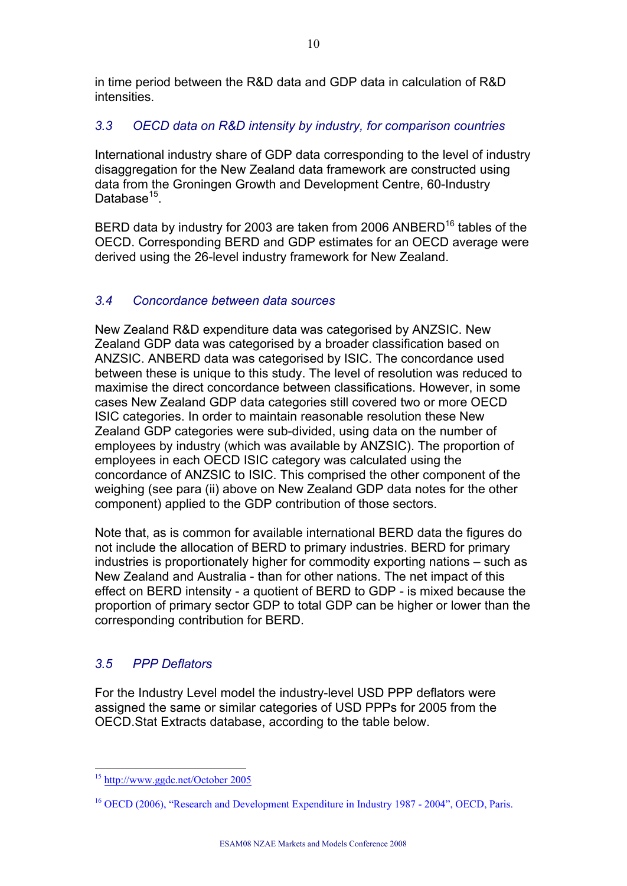in time period between the R&D data and GDP data in calculation of R&D intensities.

### *3.3 OECD data on R&D intensity by industry, for comparison countries*

International industry share of GDP data corresponding to the level of industry disaggregation for the New Zealand data framework are constructed using data from the Groningen Growth and Development Centre, 60-Industry Database<sup>15</sup>.

BERD data by industry for 2003 are taken from 2006 ANBERD<sup>16</sup> tables of the OECD. Corresponding BERD and GDP estimates for an OECD average were derived using the 26-level industry framework for New Zealand.

#### *3.4 Concordance between data sources*

New Zealand R&D expenditure data was categorised by ANZSIC. New Zealand GDP data was categorised by a broader classification based on ANZSIC. ANBERD data was categorised by ISIC. The concordance used between these is unique to this study. The level of resolution was reduced to maximise the direct concordance between classifications. However, in some cases New Zealand GDP data categories still covered two or more OECD ISIC categories. In order to maintain reasonable resolution these New Zealand GDP categories were sub-divided, using data on the number of employees by industry (which was available by ANZSIC). The proportion of employees in each OECD ISIC category was calculated using the concordance of ANZSIC to ISIC. This comprised the other component of the weighing (see para (ii) above on New Zealand GDP data notes for the other component) applied to the GDP contribution of those sectors.

Note that, as is common for available international BERD data the figures do not include the allocation of BERD to primary industries. BERD for primary industries is proportionately higher for commodity exporting nations – such as New Zealand and Australia - than for other nations. The net impact of this effect on BERD intensity - a quotient of BERD to GDP - is mixed because the proportion of primary sector GDP to total GDP can be higher or lower than the corresponding contribution for BERD.

# *3.5 PPP Deflators*

For the Industry Level model the industry-level USD PPP deflators were assigned the same or similar categories of USD PPPs for 2005 from the OECD.Stat Extracts database, according to the table below.

 $\overline{a}$ <sup>15</sup> http://www.ggdc.net/October 2005

<sup>&</sup>lt;sup>16</sup> OECD (2006), "Research and Development Expenditure in Industry 1987 - 2004", OECD, Paris.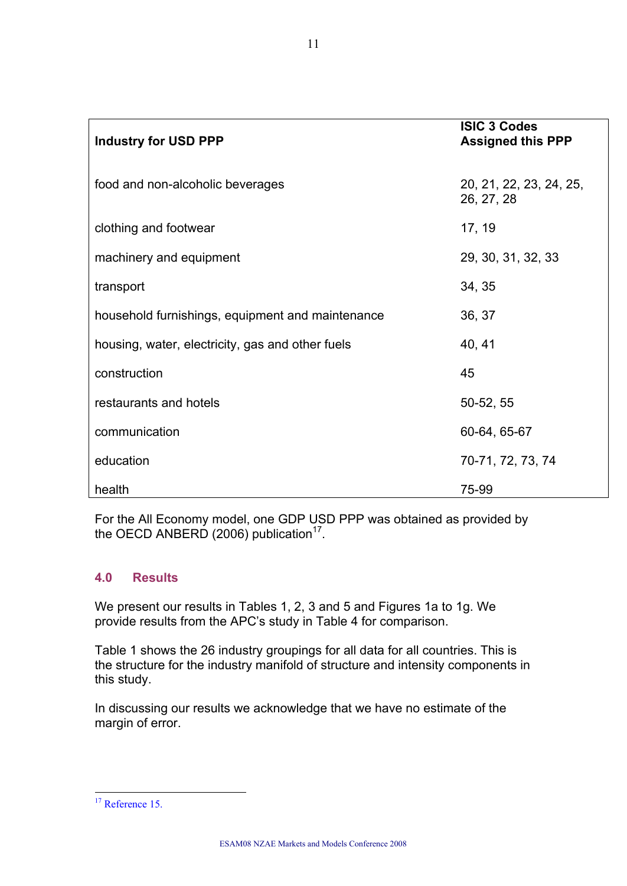| <b>Industry for USD PPP</b>                      | <b>ISIC 3 Codes</b><br><b>Assigned this PPP</b> |
|--------------------------------------------------|-------------------------------------------------|
| food and non-alcoholic beverages                 | 20, 21, 22, 23, 24, 25,<br>26, 27, 28           |
| clothing and footwear                            | 17, 19                                          |
| machinery and equipment                          | 29, 30, 31, 32, 33                              |
| transport                                        | 34, 35                                          |
| household furnishings, equipment and maintenance | 36, 37                                          |
| housing, water, electricity, gas and other fuels | 40, 41                                          |
| construction                                     | 45                                              |
| restaurants and hotels                           | 50-52, 55                                       |
| communication                                    | 60-64, 65-67                                    |
| education                                        | 70-71, 72, 73, 74                               |
| health                                           | 75-99                                           |

For the All Economy model, one GDP USD PPP was obtained as provided by the OECD ANBERD (2006) publication<sup>17</sup>.

#### **4.0 Results**

We present our results in Tables 1, 2, 3 and 5 and Figures 1a to 1g. We provide results from the APC's study in Table 4 for comparison.

Table 1 shows the 26 industry groupings for all data for all countries. This is the structure for the industry manifold of structure and intensity components in this study.

In discussing our results we acknowledge that we have no estimate of the margin of error.

 $\overline{a}$ <sup>17</sup> Reference 15.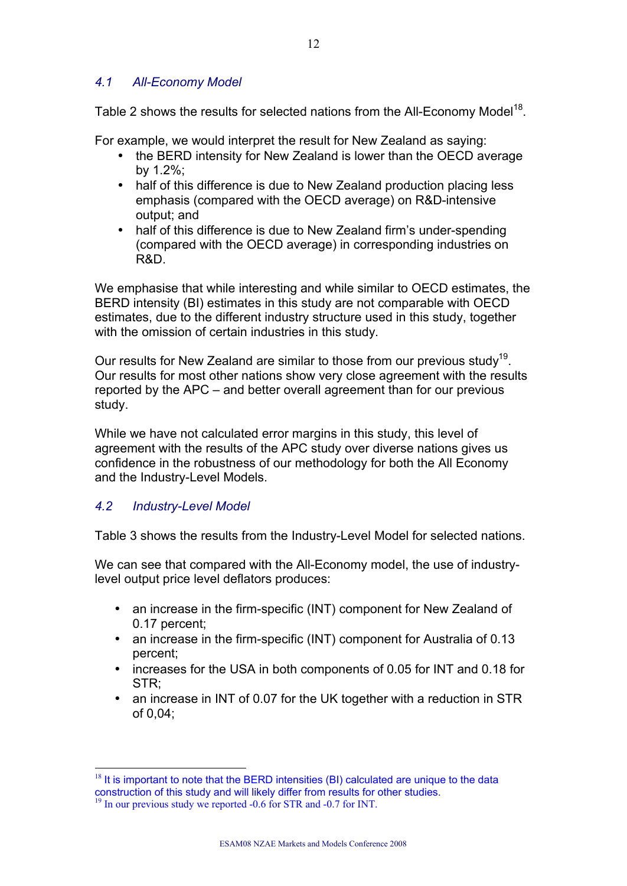#### *4.1 All-Economy Model*

Table 2 shows the results for selected nations from the All-Economy Model<sup>18</sup>.

For example, we would interpret the result for New Zealand as saying:

- the BERD intensity for New Zealand is lower than the OECD average by 1.2%;
- half of this difference is due to New Zealand production placing less emphasis (compared with the OECD average) on R&D-intensive output; and
- half of this difference is due to New Zealand firm's under-spending (compared with the OECD average) in corresponding industries on R&D.

We emphasise that while interesting and while similar to OECD estimates, the BERD intensity (BI) estimates in this study are not comparable with OECD estimates, due to the different industry structure used in this study, together with the omission of certain industries in this study.

Our results for New Zealand are similar to those from our previous study<sup>19</sup>. Our results for most other nations show very close agreement with the results reported by the APC – and better overall agreement than for our previous study.

While we have not calculated error margins in this study, this level of agreement with the results of the APC study over diverse nations gives us confidence in the robustness of our methodology for both the All Economy and the Industry-Level Models.

# *4.2 Industry-Level Model*

Table 3 shows the results from the Industry-Level Model for selected nations.

We can see that compared with the All-Economy model, the use of industrylevel output price level deflators produces:

- an increase in the firm-specific (INT) component for New Zealand of 0.17 percent;
- an increase in the firm-specific (INT) component for Australia of 0.13 percent;
- increases for the USA in both components of 0.05 for INT and 0.18 for STR;
- an increase in INT of 0.07 for the UK together with a reduction in STR of 0,04;

 $\overline{a}$  $18$  It is important to note that the BERD intensities (BI) calculated are unique to the data construction of this study and will likely differ from results for other studies. <sup>19</sup> In our previous study we reported -0.6 for STR and -0.7 for INT.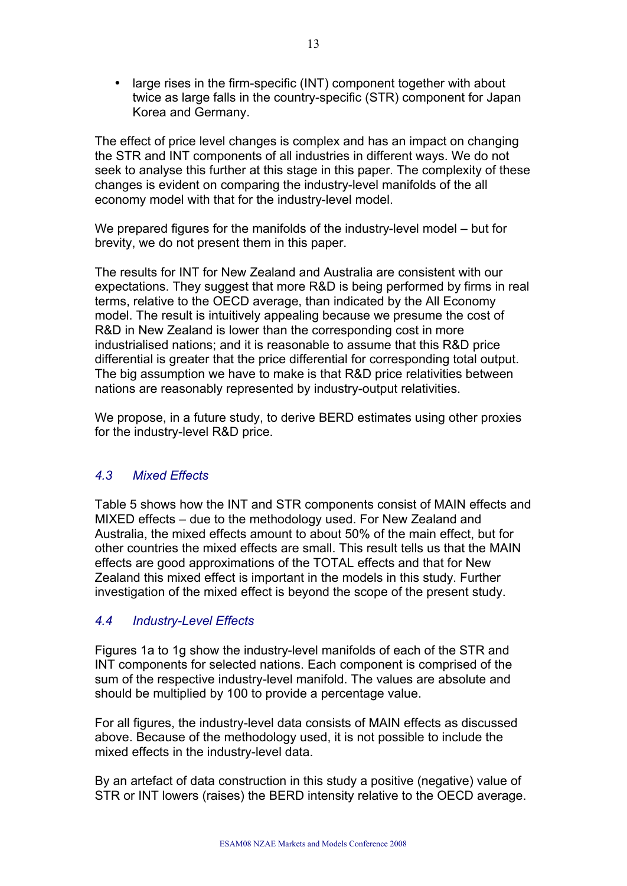large rises in the firm-specific (INT) component together with about twice as large falls in the country-specific (STR) component for Japan Korea and Germany.

The effect of price level changes is complex and has an impact on changing the STR and INT components of all industries in different ways. We do not seek to analyse this further at this stage in this paper. The complexity of these changes is evident on comparing the industry-level manifolds of the all economy model with that for the industry-level model.

We prepared figures for the manifolds of the industry-level model – but for brevity, we do not present them in this paper.

The results for INT for New Zealand and Australia are consistent with our expectations. They suggest that more R&D is being performed by firms in real terms, relative to the OECD average, than indicated by the All Economy model. The result is intuitively appealing because we presume the cost of R&D in New Zealand is lower than the corresponding cost in more industrialised nations; and it is reasonable to assume that this R&D price differential is greater that the price differential for corresponding total output. The big assumption we have to make is that R&D price relativities between nations are reasonably represented by industry-output relativities.

We propose, in a future study, to derive BERD estimates using other proxies for the industry-level R&D price.

# *4.3 Mixed Effects*

Table 5 shows how the INT and STR components consist of MAIN effects and MIXED effects – due to the methodology used. For New Zealand and Australia, the mixed effects amount to about 50% of the main effect, but for other countries the mixed effects are small. This result tells us that the MAIN effects are good approximations of the TOTAL effects and that for New Zealand this mixed effect is important in the models in this study. Further investigation of the mixed effect is beyond the scope of the present study.

#### *4.4 Industry-Level Effects*

Figures 1a to 1g show the industry-level manifolds of each of the STR and INT components for selected nations. Each component is comprised of the sum of the respective industry-level manifold. The values are absolute and should be multiplied by 100 to provide a percentage value.

For all figures, the industry-level data consists of MAIN effects as discussed above. Because of the methodology used, it is not possible to include the mixed effects in the industry-level data.

By an artefact of data construction in this study a positive (negative) value of STR or INT lowers (raises) the BERD intensity relative to the OECD average.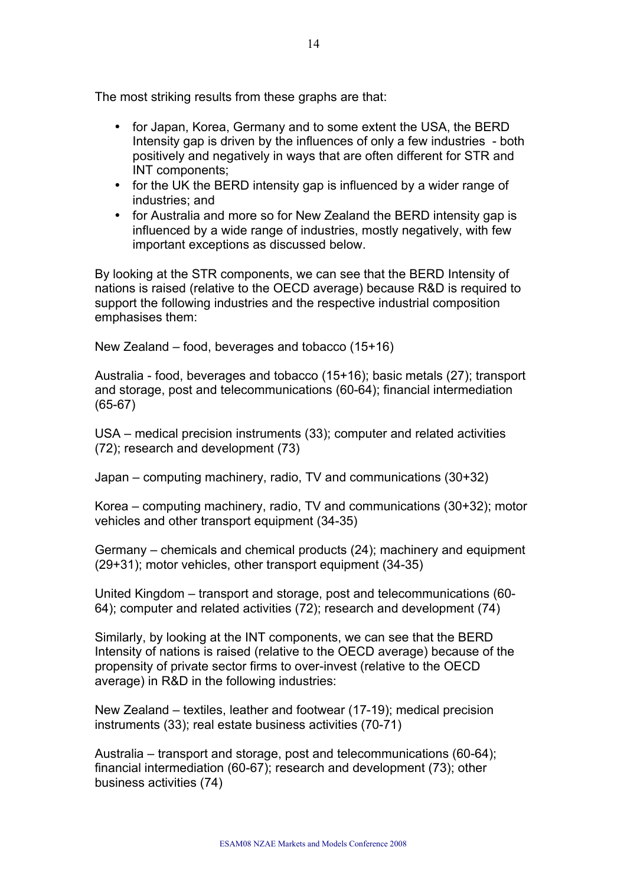The most striking results from these graphs are that:

- for Japan, Korea, Germany and to some extent the USA, the BERD Intensity gap is driven by the influences of only a few industries - both positively and negatively in ways that are often different for STR and INT components;
- for the UK the BERD intensity gap is influenced by a wider range of industries; and
- for Australia and more so for New Zealand the BERD intensity gap is influenced by a wide range of industries, mostly negatively, with few important exceptions as discussed below.

By looking at the STR components, we can see that the BERD Intensity of nations is raised (relative to the OECD average) because R&D is required to support the following industries and the respective industrial composition emphasises them:

New Zealand – food, beverages and tobacco (15+16)

Australia - food, beverages and tobacco (15+16); basic metals (27); transport and storage, post and telecommunications (60-64); financial intermediation (65-67)

USA – medical precision instruments (33); computer and related activities (72); research and development (73)

Japan – computing machinery, radio, TV and communications (30+32)

Korea – computing machinery, radio, TV and communications (30+32); motor vehicles and other transport equipment (34-35)

Germany – chemicals and chemical products (24); machinery and equipment (29+31); motor vehicles, other transport equipment (34-35)

United Kingdom – transport and storage, post and telecommunications (60- 64); computer and related activities (72); research and development (74)

Similarly, by looking at the INT components, we can see that the BERD Intensity of nations is raised (relative to the OECD average) because of the propensity of private sector firms to over-invest (relative to the OECD average) in R&D in the following industries:

New Zealand – textiles, leather and footwear (17-19); medical precision instruments (33); real estate business activities (70-71)

Australia – transport and storage, post and telecommunications (60-64); financial intermediation (60-67); research and development (73); other business activities (74)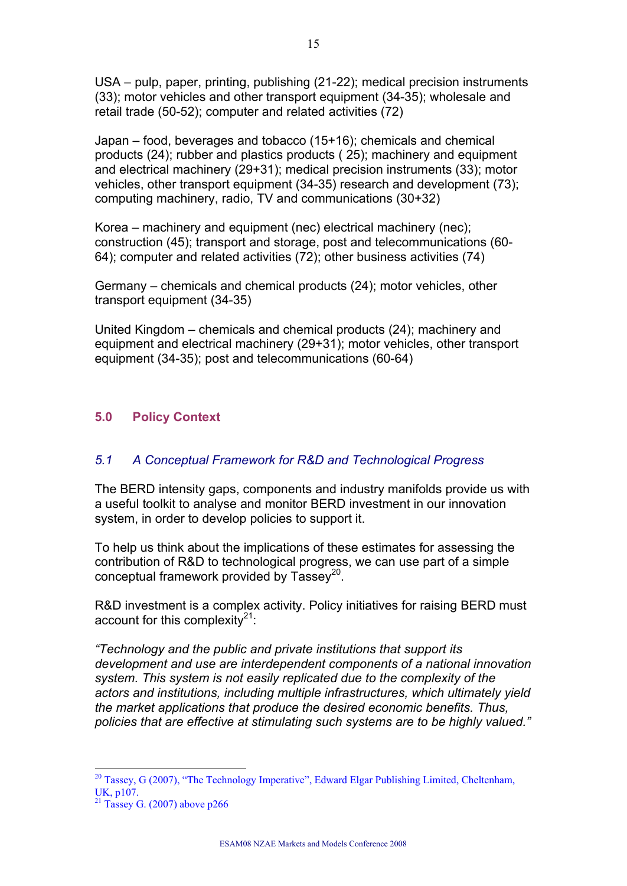USA – pulp, paper, printing, publishing (21-22); medical precision instruments (33); motor vehicles and other transport equipment (34-35); wholesale and retail trade (50-52); computer and related activities (72)

Japan – food, beverages and tobacco (15+16); chemicals and chemical products (24); rubber and plastics products ( 25); machinery and equipment and electrical machinery (29+31); medical precision instruments (33); motor vehicles, other transport equipment (34-35) research and development (73); computing machinery, radio, TV and communications (30+32)

Korea – machinery and equipment (nec) electrical machinery (nec); construction (45); transport and storage, post and telecommunications (60- 64); computer and related activities (72); other business activities (74)

Germany – chemicals and chemical products (24); motor vehicles, other transport equipment (34-35)

United Kingdom – chemicals and chemical products (24); machinery and equipment and electrical machinery (29+31); motor vehicles, other transport equipment (34-35); post and telecommunications (60-64)

#### **5.0 Policy Context**

#### *5.1 A Conceptual Framework for R&D and Technological Progress*

The BERD intensity gaps, components and industry manifolds provide us with a useful toolkit to analyse and monitor BERD investment in our innovation system, in order to develop policies to support it.

To help us think about the implications of these estimates for assessing the contribution of R&D to technological progress, we can use part of a simple conceptual framework provided by  $T$ assey<sup>20</sup>.

R&D investment is a complex activity. Policy initiatives for raising BERD must account for this complexity<sup>21</sup>:

*"Technology and the public and private institutions that support its development and use are interdependent components of a national innovation system. This system is not easily replicated due to the complexity of the actors and institutions, including multiple infrastructures, which ultimately yield the market applications that produce the desired economic benefits. Thus, policies that are effective at stimulating such systems are to be highly valued."*

 $20$  Tassey, G (2007), "The Technology Imperative", Edward Elgar Publishing Limited, Cheltenham, UK, p107.

 $21$  Tassey G. (2007) above p266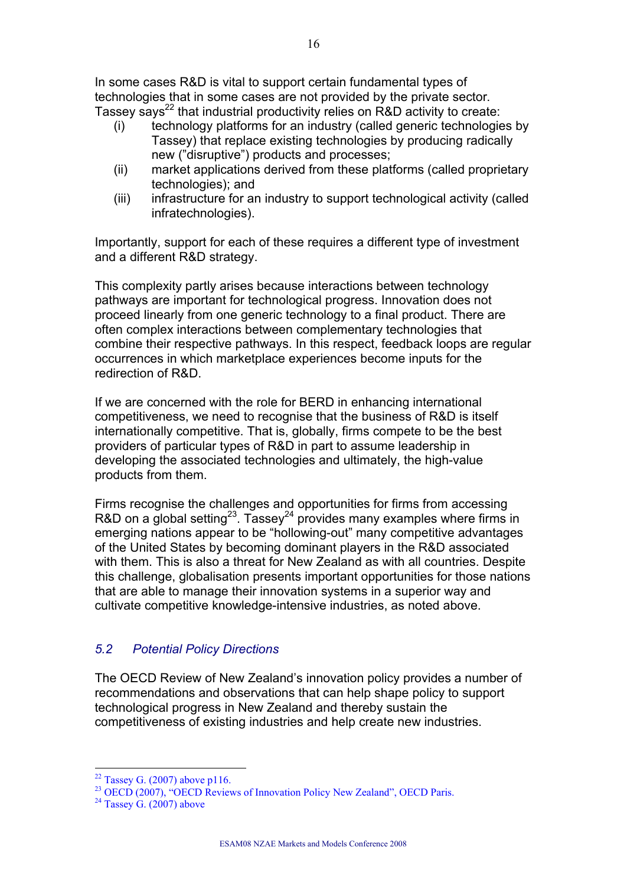In some cases R&D is vital to support certain fundamental types of technologies that in some cases are not provided by the private sector. Tassey says<sup>22</sup> that industrial productivity relies on R&D activity to create:

- (i) technology platforms for an industry (called generic technologies by Tassey) that replace existing technologies by producing radically new ("disruptive") products and processes;
- (ii) market applications derived from these platforms (called proprietary technologies); and
- (iii) infrastructure for an industry to support technological activity (called infratechnologies).

Importantly, support for each of these requires a different type of investment and a different R&D strategy.

This complexity partly arises because interactions between technology pathways are important for technological progress. Innovation does not proceed linearly from one generic technology to a final product. There are often complex interactions between complementary technologies that combine their respective pathways. In this respect, feedback loops are regular occurrences in which marketplace experiences become inputs for the redirection of R&D.

If we are concerned with the role for BERD in enhancing international competitiveness, we need to recognise that the business of R&D is itself internationally competitive. That is, globally, firms compete to be the best providers of particular types of R&D in part to assume leadership in developing the associated technologies and ultimately, the high-value products from them.

Firms recognise the challenges and opportunities for firms from accessing R&D on a global setting<sup>23</sup>. Tassey<sup>24</sup> provides many examples where firms in emerging nations appear to be "hollowing-out" many competitive advantages of the United States by becoming dominant players in the R&D associated with them. This is also a threat for New Zealand as with all countries. Despite this challenge, globalisation presents important opportunities for those nations that are able to manage their innovation systems in a superior way and cultivate competitive knowledge-intensive industries, as noted above.

# *5.2 Potential Policy Directions*

The OECD Review of New Zealand's innovation policy provides a number of recommendations and observations that can help shape policy to support technological progress in New Zealand and thereby sustain the competitiveness of existing industries and help create new industries.

 $22$  Tassey G. (2007) above p116.

<sup>&</sup>lt;sup>23</sup> OECD (2007), "OECD Reviews of Innovation Policy New Zealand", OECD Paris.

 $24$  Tassey G. (2007) above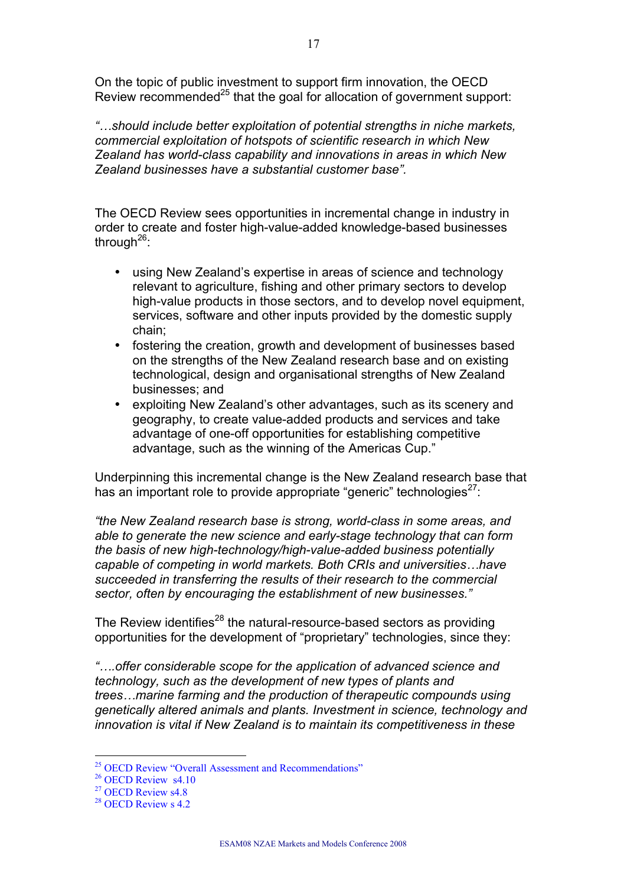On the topic of public investment to support firm innovation, the OECD Review recommended<sup>25</sup> that the goal for allocation of government support:

*"…should include better exploitation of potential strengths in niche markets, commercial exploitation of hotspots of scientific research in which New Zealand has world-class capability and innovations in areas in which New Zealand businesses have a substantial customer base".*

The OECD Review sees opportunities in incremental change in industry in order to create and foster high-value-added knowledge-based businesses through<sup>26</sup>:

- using New Zealand's expertise in areas of science and technology relevant to agriculture, fishing and other primary sectors to develop high-value products in those sectors, and to develop novel equipment, services, software and other inputs provided by the domestic supply chain;
- fostering the creation, growth and development of businesses based on the strengths of the New Zealand research base and on existing technological, design and organisational strengths of New Zealand businesses; and
- exploiting New Zealand's other advantages, such as its scenery and geography, to create value-added products and services and take advantage of one-off opportunities for establishing competitive advantage, such as the winning of the Americas Cup."

Underpinning this incremental change is the New Zealand research base that has an important role to provide appropriate "generic" technologies $^{27}$ :

*"the New Zealand research base is strong, world-class in some areas, and able to generate the new science and early-stage technology that can form the basis of new high-technology/high-value-added business potentially capable of competing in world markets. Both CRIs and universities…have succeeded in transferring the results of their research to the commercial sector, often by encouraging the establishment of new businesses."*

The Review identifies<sup>28</sup> the natural-resource-based sectors as providing opportunities for the development of "proprietary" technologies, since they:

*"….offer considerable scope for the application of advanced science and technology, such as the development of new types of plants and trees…marine farming and the production of therapeutic compounds using genetically altered animals and plants. Investment in science, technology and innovation is vital if New Zealand is to maintain its competitiveness in these* 

<sup>&</sup>lt;sup>25</sup> OECD Review "Overall Assessment and Recommendations"

<sup>&</sup>lt;sup>26</sup> OECD Review s4.10

<sup>&</sup>lt;sup>27</sup> OECD Review s4.8

<sup>&</sup>lt;sup>28</sup> OECD Review s 4.2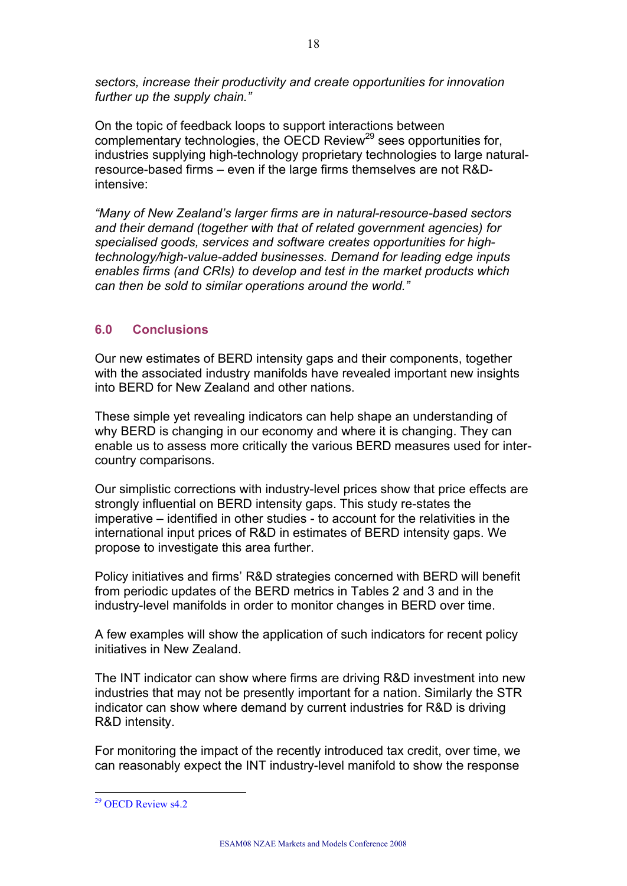*sectors, increase their productivity and create opportunities for innovation further up the supply chain."*

On the topic of feedback loops to support interactions between complementary technologies, the OECD Review<sup>29</sup> sees opportunities for, industries supplying high-technology proprietary technologies to large naturalresource-based firms – even if the large firms themselves are not R&Dintensive:

*"Many of New Zealand's larger firms are in natural-resource-based sectors and their demand (together with that of related government agencies) for specialised goods, services and software creates opportunities for hightechnology/high-value-added businesses. Demand for leading edge inputs enables firms (and CRIs) to develop and test in the market products which can then be sold to similar operations around the world."*

# **6.0 Conclusions**

Our new estimates of BERD intensity gaps and their components, together with the associated industry manifolds have revealed important new insights into BERD for New Zealand and other nations.

These simple yet revealing indicators can help shape an understanding of why BERD is changing in our economy and where it is changing. They can enable us to assess more critically the various BERD measures used for intercountry comparisons.

Our simplistic corrections with industry-level prices show that price effects are strongly influential on BERD intensity gaps. This study re-states the imperative – identified in other studies - to account for the relativities in the international input prices of R&D in estimates of BERD intensity gaps. We propose to investigate this area further.

Policy initiatives and firms' R&D strategies concerned with BERD will benefit from periodic updates of the BERD metrics in Tables 2 and 3 and in the industry-level manifolds in order to monitor changes in BERD over time.

A few examples will show the application of such indicators for recent policy initiatives in New Zealand.

The INT indicator can show where firms are driving R&D investment into new industries that may not be presently important for a nation. Similarly the STR indicator can show where demand by current industries for R&D is driving R&D intensity.

For monitoring the impact of the recently introduced tax credit, over time, we can reasonably expect the INT industry-level manifold to show the response

 $\overline{a}$ <sup>29</sup> OECD Review s4.2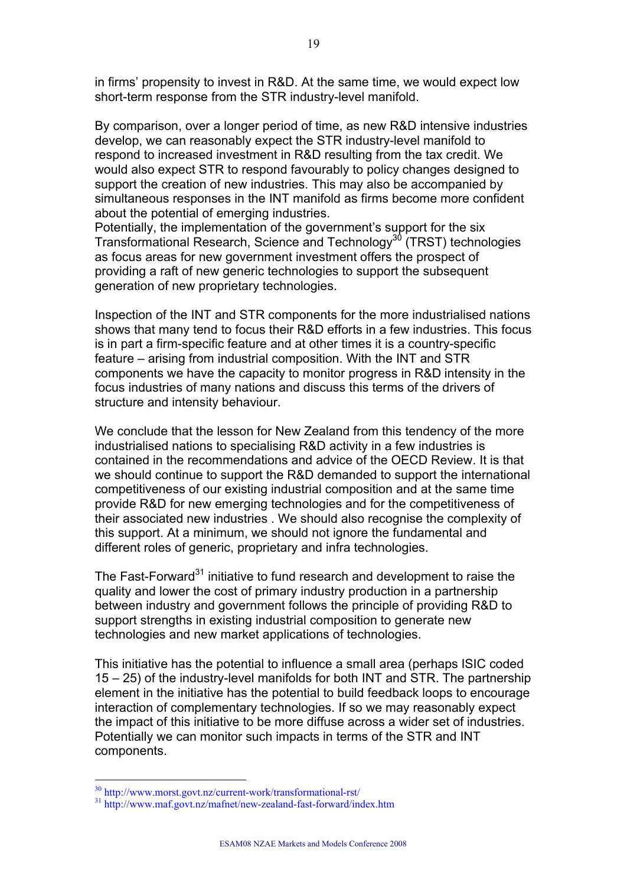in firms' propensity to invest in R&D. At the same time, we would expect low short-term response from the STR industry-level manifold.

By comparison, over a longer period of time, as new R&D intensive industries develop, we can reasonably expect the STR industry-level manifold to respond to increased investment in R&D resulting from the tax credit. We would also expect STR to respond favourably to policy changes designed to support the creation of new industries. This may also be accompanied by simultaneous responses in the INT manifold as firms become more confident about the potential of emerging industries.

Potentially, the implementation of the government's support for the six Transformational Research, Science and Technology<sup>30</sup> (TRST) technologies as focus areas for new government investment offers the prospect of providing a raft of new generic technologies to support the subsequent generation of new proprietary technologies.

Inspection of the INT and STR components for the more industrialised nations shows that many tend to focus their R&D efforts in a few industries. This focus is in part a firm-specific feature and at other times it is a country-specific feature – arising from industrial composition. With the INT and STR components we have the capacity to monitor progress in R&D intensity in the focus industries of many nations and discuss this terms of the drivers of structure and intensity behaviour.

We conclude that the lesson for New Zealand from this tendency of the more industrialised nations to specialising R&D activity in a few industries is contained in the recommendations and advice of the OECD Review. It is that we should continue to support the R&D demanded to support the international competitiveness of our existing industrial composition and at the same time provide R&D for new emerging technologies and for the competitiveness of their associated new industries . We should also recognise the complexity of this support. At a minimum, we should not ignore the fundamental and different roles of generic, proprietary and infra technologies.

The Fast-Forward<sup>31</sup> initiative to fund research and development to raise the quality and lower the cost of primary industry production in a partnership between industry and government follows the principle of providing R&D to support strengths in existing industrial composition to generate new technologies and new market applications of technologies.

This initiative has the potential to influence a small area (perhaps ISIC coded 15 – 25) of the industry-level manifolds for both INT and STR. The partnership element in the initiative has the potential to build feedback loops to encourage interaction of complementary technologies. If so we may reasonably expect the impact of this initiative to be more diffuse across a wider set of industries. Potentially we can monitor such impacts in terms of the STR and INT components.

<sup>30</sup> http://www.morst.govt.nz/current-work/transformational-rst/

<sup>31</sup> http://www.maf.govt.nz/mafnet/new-zealand-fast-forward/index.htm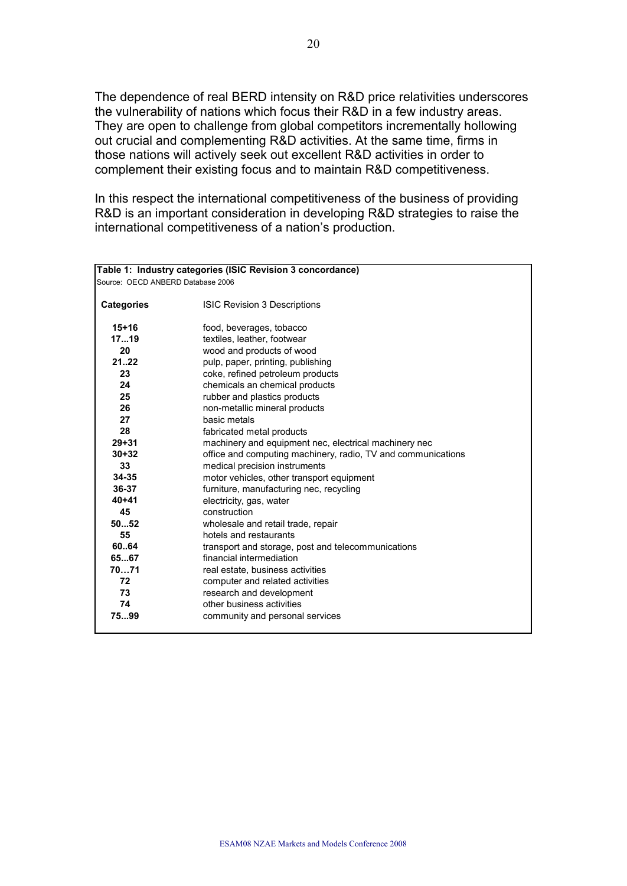The dependence of real BERD intensity on R&D price relativities underscores the vulnerability of nations which focus their R&D in a few industry areas. They are open to challenge from global competitors incrementally hollowing out crucial and complementing R&D activities. At the same time, firms in those nations will actively seek out excellent R&D activities in order to complement their existing focus and to maintain R&D competitiveness.

In this respect the international competitiveness of the business of providing R&D is an important consideration in developing R&D strategies to raise the international competitiveness of a nation's production.

| Table 1: Industry categories (ISIC Revision 3 concordance) |                                                              |  |  |  |  |
|------------------------------------------------------------|--------------------------------------------------------------|--|--|--|--|
| Source: OECD ANBERD Database 2006                          |                                                              |  |  |  |  |
|                                                            |                                                              |  |  |  |  |
| <b>Categories</b>                                          | <b>ISIC Revision 3 Descriptions</b>                          |  |  |  |  |
|                                                            |                                                              |  |  |  |  |
| $15+16$                                                    | food, beverages, tobacco                                     |  |  |  |  |
| 1719                                                       | textiles, leather, footwear                                  |  |  |  |  |
| 20                                                         | wood and products of wood                                    |  |  |  |  |
| 2122                                                       | pulp, paper, printing, publishing                            |  |  |  |  |
| 23                                                         | coke, refined petroleum products                             |  |  |  |  |
| 24                                                         | chemicals an chemical products                               |  |  |  |  |
| 25                                                         | rubber and plastics products                                 |  |  |  |  |
| 26                                                         | non-metallic mineral products                                |  |  |  |  |
| 27                                                         | basic metals                                                 |  |  |  |  |
| 28                                                         | fabricated metal products                                    |  |  |  |  |
| $29 + 31$                                                  | machinery and equipment nec, electrical machinery nec        |  |  |  |  |
| $30 + 32$                                                  | office and computing machinery, radio, TV and communications |  |  |  |  |
| 33                                                         | medical precision instruments                                |  |  |  |  |
| 34-35                                                      | motor vehicles, other transport equipment                    |  |  |  |  |
| 36-37                                                      | furniture, manufacturing nec, recycling                      |  |  |  |  |
| $40 + 41$                                                  | electricity, gas, water                                      |  |  |  |  |
| 45                                                         | construction                                                 |  |  |  |  |
| 5052                                                       | wholesale and retail trade, repair                           |  |  |  |  |
| 55                                                         | hotels and restaurants                                       |  |  |  |  |
| 60.64                                                      | transport and storage, post and telecommunications           |  |  |  |  |
| 6567                                                       | financial intermediation                                     |  |  |  |  |
| 7071                                                       | real estate, business activities                             |  |  |  |  |
| 72                                                         | computer and related activities                              |  |  |  |  |
| 73                                                         | research and development                                     |  |  |  |  |
| 74                                                         | other business activities                                    |  |  |  |  |
| 7599                                                       | community and personal services                              |  |  |  |  |
|                                                            |                                                              |  |  |  |  |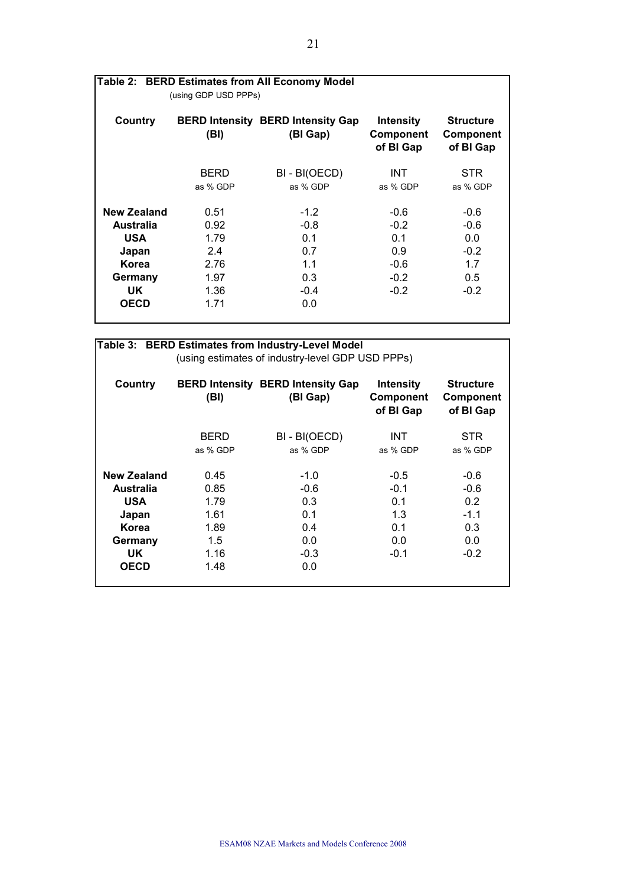|                                                                     |                                             | Table 2: BERD Estimates from All Economy Model       |                                                    |                                                   |  |
|---------------------------------------------------------------------|---------------------------------------------|------------------------------------------------------|----------------------------------------------------|---------------------------------------------------|--|
|                                                                     | (using GDP USD PPPs)                        |                                                      |                                                    |                                                   |  |
| Country                                                             | (BI)                                        | <b>BERD Intensity BERD Intensity Gap</b><br>(BI Gap) | <b>Intensity</b><br><b>Component</b><br>of BI Gap  | <b>Structure</b><br><b>Component</b><br>of BI Gap |  |
|                                                                     | <b>BERD</b><br>as % GDP                     | BI - BI(OECD)<br>as % GDP                            | <b>INT</b><br>as % GDP                             | <b>STR</b><br>as % GDP                            |  |
| New Zealand<br>Australia<br><b>USA</b><br>Japan<br>Korea<br>Germany | 0.51<br>0.92<br>1.79<br>2.4<br>2.76<br>1.97 | $-1.2$<br>$-0.8$<br>0.1<br>0.7<br>1.1<br>0.3         | $-0.6$<br>$-0.2$<br>0.1<br>0.9<br>$-0.6$<br>$-0.2$ | $-0.6$<br>$-0.6$<br>0.0<br>$-0.2$<br>1.7<br>0.5   |  |
| UK.<br><b>OECD</b>                                                  | 1.36<br>1.71                                | $-0.4$<br>0.0                                        | $-0.2$                                             | $-0.2$                                            |  |

| Table 3: BERD Estimates from Industry-Level Model |             |                                                      |                                                   |                                                   |  |  |
|---------------------------------------------------|-------------|------------------------------------------------------|---------------------------------------------------|---------------------------------------------------|--|--|
| (using estimates of industry-level GDP USD PPPs)  |             |                                                      |                                                   |                                                   |  |  |
| Country                                           | (BI)        | <b>BERD Intensity BERD Intensity Gap</b><br>(BI Gap) | <b>Intensity</b><br><b>Component</b><br>of BI Gap | <b>Structure</b><br><b>Component</b><br>of BI Gap |  |  |
|                                                   | <b>BERD</b> | BI - BI(OECD)                                        | <b>INT</b>                                        | STR.                                              |  |  |
|                                                   | as % GDP    | as % GDP                                             | as % GDP                                          | as % GDP                                          |  |  |
| <b>New Zealand</b>                                | 0.45        | $-1.0$                                               | $-0.5$                                            | $-0.6$                                            |  |  |
| Australia                                         | 0.85        | $-0.6$                                               | $-0.1$                                            | $-0.6$                                            |  |  |
| <b>USA</b>                                        | 1.79        | 0.3                                                  | 0.1                                               | 0.2                                               |  |  |
| Japan                                             | 1.61        | 0.1                                                  | 1.3                                               | $-1.1$                                            |  |  |
| Korea                                             | 1.89        | 0.4                                                  | 0.1                                               | 0.3                                               |  |  |
| Germany                                           | 1.5         | 0.0                                                  | 0.0                                               | 0.0                                               |  |  |
| UK.                                               | 1.16        | $-0.3$                                               | $-0.1$                                            | $-0.2$                                            |  |  |
| <b>OECD</b>                                       | 1.48        | 0.0                                                  |                                                   |                                                   |  |  |
|                                                   |             |                                                      |                                                   |                                                   |  |  |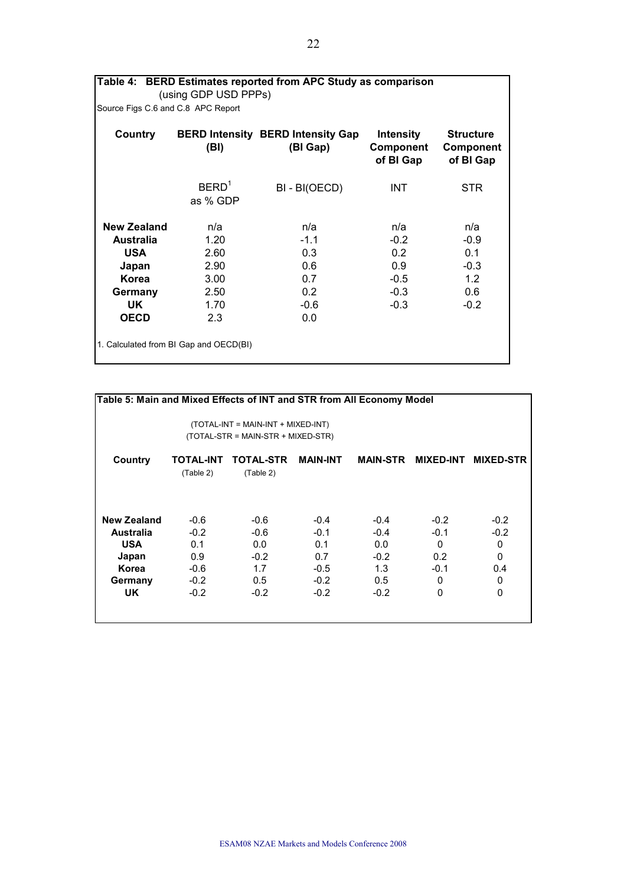| Table 4: BERD Estimates reported from APC Study as comparison<br>(using GDP USD PPPs) |                                        |                                                      |                                                   |                                            |  |
|---------------------------------------------------------------------------------------|----------------------------------------|------------------------------------------------------|---------------------------------------------------|--------------------------------------------|--|
| Source Figs C.6 and C.8 APC Report                                                    |                                        |                                                      |                                                   |                                            |  |
| Country                                                                               | (BI)                                   | <b>BERD Intensity BERD Intensity Gap</b><br>(BI Gap) | <b>Intensity</b><br><b>Component</b><br>of BI Gap | <b>Structure</b><br>Component<br>of BI Gap |  |
|                                                                                       | BERD <sup>1</sup><br>as % GDP          | BI - BI(OECD)                                        | INT.                                              | <b>STR</b>                                 |  |
| <b>New Zealand</b>                                                                    | n/a                                    | n/a                                                  | n/a                                               | n/a                                        |  |
| <b>Australia</b>                                                                      | 1.20                                   | $-1.1$                                               | $-0.2$                                            | $-0.9$                                     |  |
| <b>USA</b>                                                                            | 2.60                                   | 0.3                                                  | 0.2                                               | 0.1                                        |  |
| Japan                                                                                 | 2.90                                   | 0.6                                                  | 0.9                                               | $-0.3$                                     |  |
| Korea                                                                                 | 3.00                                   | 0.7                                                  | $-0.5$                                            | 1.2                                        |  |
| Germany                                                                               | 2.50                                   | 0.2                                                  | $-0.3$                                            | 0.6                                        |  |
| UK                                                                                    | 1.70                                   | $-0.6$                                               | $-0.3$                                            | $-0.2$                                     |  |
| <b>OECD</b>                                                                           | 2.3                                    | 0.0                                                  |                                                   |                                            |  |
|                                                                                       | 1. Calculated from BI Gap and OECD(BI) |                                                      |                                                   |                                            |  |

| Table 5: Main and Mixed Effects of INT and STR from All Economy Model    |                               |                               |                            |                      |                  |                  |
|--------------------------------------------------------------------------|-------------------------------|-------------------------------|----------------------------|----------------------|------------------|------------------|
| (TOTAL-INT = MAIN-INT + MIXED-INT)<br>(TOTAL-STR = MAIN-STR + MIXED-STR) |                               |                               |                            |                      |                  |                  |
| Country                                                                  | <b>TOTAL-INT</b><br>(Table 2) | <b>TOTAL-STR</b><br>(Table 2) | <b>MAIN-INT</b>            | <b>MAIN-STR</b>      | <b>MIXED-INT</b> | <b>MIXED-STR</b> |
| <b>New Zealand</b><br><b>Australia</b>                                   | $-0.6$<br>$-0.2$              | $-0.6$<br>$-0.6$              | $-0.4$<br>$-0.1$           | $-0.4$<br>$-0.4$     | $-0.2$<br>$-0.1$ | $-0.2$<br>$-0.2$ |
| <b>USA</b><br>Japan                                                      | 0.1<br>0.9                    | 0.0<br>$-0.2$                 | 0.1<br>0.7                 | 0.0<br>$-0.2$        | $\Omega$<br>0.2  | 0<br>0           |
| Korea<br>Germany<br>UK.                                                  | $-0.6$<br>$-0.2$<br>$-0.2$    | 1.7<br>0.5<br>$-0.2$          | $-0.5$<br>$-0.2$<br>$-0.2$ | 1.3<br>0.5<br>$-0.2$ | $-0.1$<br>0<br>0 | 0.4<br>0<br>0    |
|                                                                          |                               |                               |                            |                      |                  |                  |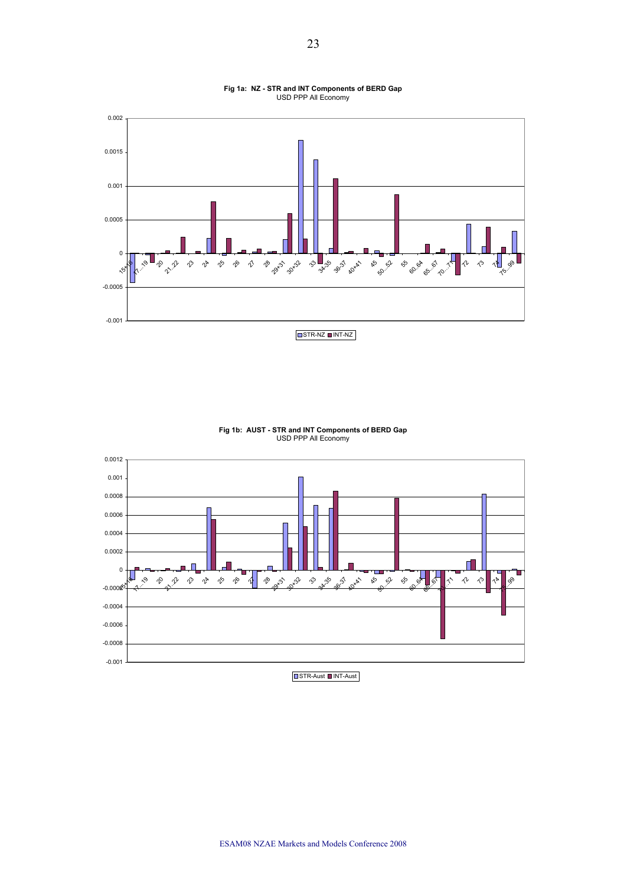

#### **Fig 1a: NZ - STR and INT Components of BERD Gap**  USD PPP All Economy



**Fig 1b: AUST - STR and INT Components of BERD Gap**  USD PPP All Economy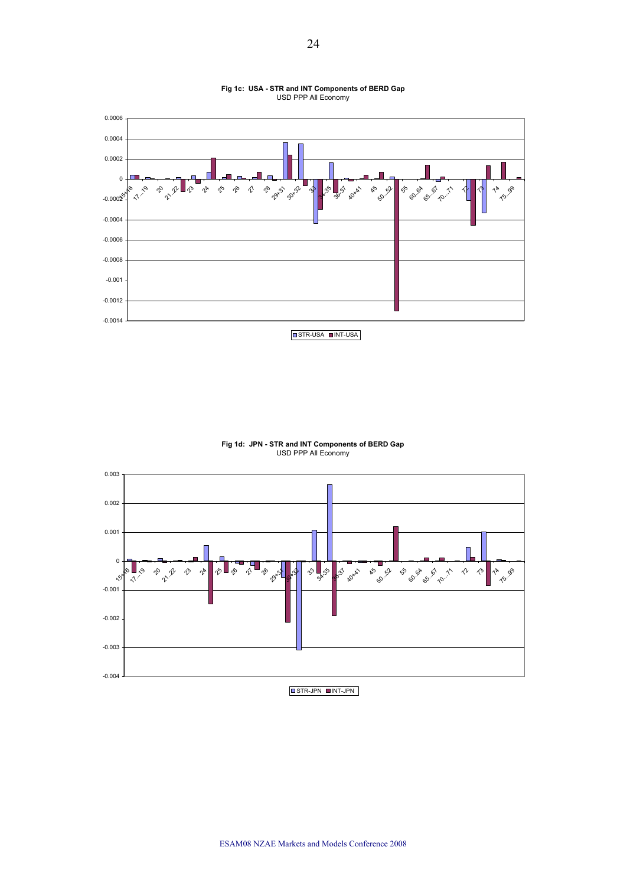

**Fig 1c: USA - STR and INT Components of BERD Gap**  USD PPP All Economy

#### **Fig 1d: JPN - STR and INT Components of BERD Gap**  USD PPP All Economy

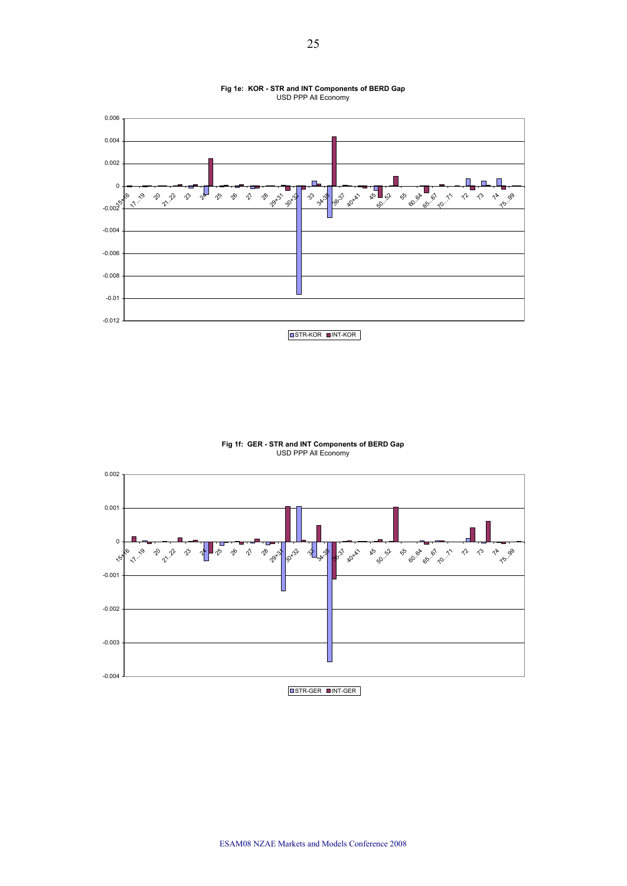

#### **Fig 1e: KOR - STR and INT Components of BERD Gap**  USD PPP All Economy

**Fig 1f: GER - STR and INT Components of BERD Gap**  USD PPP All Economy